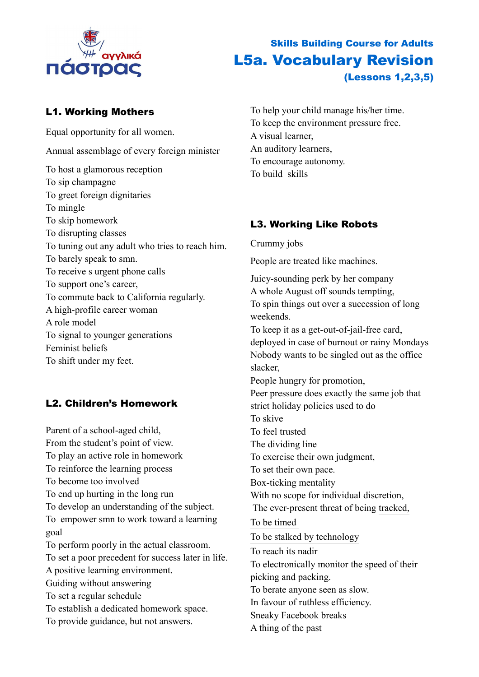

#### L1. Working Mothers

Equal opportunity for all women. Annual assemblage of every foreign minister To host a glamorous reception To sip champagne To greet foreign dignitaries To mingle To skip homework To disrupting classes To tuning out any adult who tries to reach him. To barely speak to smn. To receive s urgent phone calls To support one's career, To commute back to California regularly. A high-profile career woman A role model To signal to younger generations Feminist beliefs To shift under my feet.

## L2. Children's Homework

Parent of a school-aged child, From the student's point of view. To play an active role in homework To reinforce the learning process To become too involved To end up hurting in the long run To develop an understanding of the subject. To empower smn to work toward a learning goal To perform poorly in the actual classroom. To set a poor precedent for success later in life. A positive learning environment. Guiding without answering To set a regular schedule To establish a dedicated homework space. To provide guidance, but not answers.

# Skills Building Course for Adults L5a. Vocabulary Revision (Lessons 1,2,3,5)

To help your child manage his/her time. To keep the environment pressure free. A visual learner, An auditory learners, To encourage autonomy. To build skills

## L3. Working Like Robots

Crummy jobs

People are treated like machines.

Juicy-sounding perk by her company A whole August off sounds tempting, To spin things out over a succession of long weekends. To keep it as a get-out-of-jail-free card, deployed in case of burnout or rainy Mondays Nobody wants to be singled out as the office slacker, People hungry for promotion, Peer pressure does exactly the same job that strict holiday policies used to do To skive To feel trusted The dividing line To exercise their own judgment, To set their own pace. Box-ticking mentality With no scope for individual discretion, The ever-present threat of being [tracked,](https://www.theguardian.com/technology/2013/dec/01/week-amazon-insider-feature-treatment-employees-work) To b[e timed](https://www.theguardian.com/technology/2013/dec/01/week-amazon-insider-feature-treatment-employees-work)  To be [stalked by technology](https://www.theguardian.com/technology/2013/dec/01/week-amazon-insider-feature-treatment-employees-work) To reach its nadir To electronically monitor the speed of their picking and packing. To berate anyone seen as slow. In favour of ruthless efficiency. Sneaky Facebook breaks A thing of the past